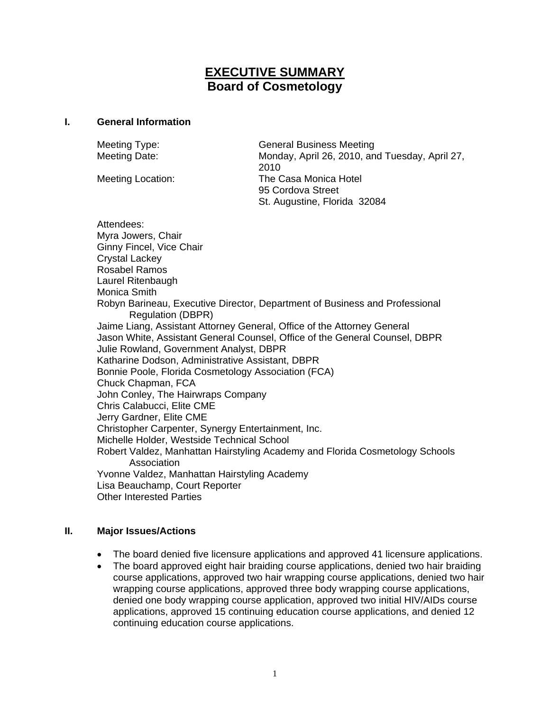# **EXECUTIVE SUMMARY Board of Cosmetology**

#### **I. General Information**

Meeting Type: General Business Meeting Meeting Date: Monday, April 26, 2010, and Tuesday, April 27, 2010 Meeting Location: The Casa Monica Hotel 95 Cordova Street St. Augustine, Florida 32084 Attendees: Myra Jowers, Chair Ginny Fincel, Vice Chair Crystal Lackey Rosabel Ramos Laurel Ritenbaugh Monica Smith Robyn Barineau, Executive Director, Department of Business and Professional Regulation (DBPR) Jaime Liang, Assistant Attorney General, Office of the Attorney General Jason White, Assistant General Counsel, Office of the General Counsel, DBPR Julie Rowland, Government Analyst, DBPR Katharine Dodson, Administrative Assistant, DBPR Bonnie Poole, Florida Cosmetology Association (FCA) Chuck Chapman, FCA John Conley, The Hairwraps Company Chris Calabucci, Elite CME Jerry Gardner, Elite CME Christopher Carpenter, Synergy Entertainment, Inc. Michelle Holder, Westside Technical School Robert Valdez, Manhattan Hairstyling Academy and Florida Cosmetology Schools Association Yvonne Valdez, Manhattan Hairstyling Academy Lisa Beauchamp, Court Reporter Other Interested Parties

#### **II. Major Issues/Actions**

- The board denied five licensure applications and approved 41 licensure applications.
- The board approved eight hair braiding course applications, denied two hair braiding course applications, approved two hair wrapping course applications, denied two hair wrapping course applications, approved three body wrapping course applications, denied one body wrapping course application, approved two initial HIV/AIDs course applications, approved 15 continuing education course applications, and denied 12 continuing education course applications.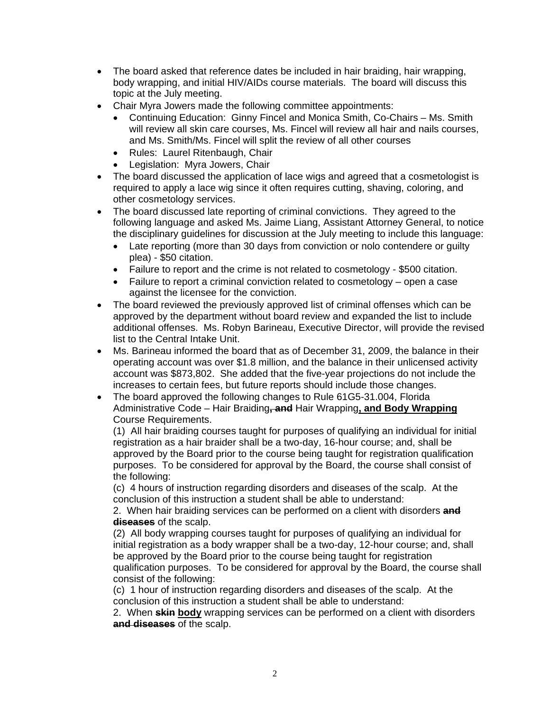- The board asked that reference dates be included in hair braiding, hair wrapping, body wrapping, and initial HIV/AIDs course materials. The board will discuss this topic at the July meeting.
- Chair Myra Jowers made the following committee appointments:
	- Continuing Education: Ginny Fincel and Monica Smith, Co-Chairs Ms. Smith will review all skin care courses, Ms. Fincel will review all hair and nails courses, and Ms. Smith/Ms. Fincel will split the review of all other courses
	- Rules: Laurel Ritenbaugh, Chair
	- Legislation: Myra Jowers, Chair
- The board discussed the application of lace wigs and agreed that a cosmetologist is required to apply a lace wig since it often requires cutting, shaving, coloring, and other cosmetology services.
- The board discussed late reporting of criminal convictions. They agreed to the following language and asked Ms. Jaime Liang, Assistant Attorney General, to notice the disciplinary guidelines for discussion at the July meeting to include this language:
	- Late reporting (more than 30 days from conviction or nolo contendere or guilty plea) - \$50 citation.
	- Failure to report and the crime is not related to cosmetology \$500 citation.
	- Failure to report a criminal conviction related to cosmetology open a case against the licensee for the conviction.
- The board reviewed the previously approved list of criminal offenses which can be approved by the department without board review and expanded the list to include additional offenses. Ms. Robyn Barineau, Executive Director, will provide the revised list to the Central Intake Unit.
- Ms. Barineau informed the board that as of December 31, 2009, the balance in their operating account was over \$1.8 million, and the balance in their unlicensed activity account was \$873,802. She added that the five-year projections do not include the increases to certain fees, but future reports should include those changes.
- The board approved the following changes to Rule 61G5-31.004, Florida Administrative Code – Hair Braiding**, and** Hair Wrapping**, and Body Wrapping** Course Requirements.

(1) All hair braiding courses taught for purposes of qualifying an individual for initial registration as a hair braider shall be a two-day, 16-hour course; and, shall be approved by the Board prior to the course being taught for registration qualification purposes. To be considered for approval by the Board, the course shall consist of the following:

(c) 4 hours of instruction regarding disorders and diseases of the scalp. At the conclusion of this instruction a student shall be able to understand:

2. When hair braiding services can be performed on a client with disorders **and diseases** of the scalp.

(2) All body wrapping courses taught for purposes of qualifying an individual for initial registration as a body wrapper shall be a two-day, 12-hour course; and, shall be approved by the Board prior to the course being taught for registration qualification purposes. To be considered for approval by the Board, the course shall consist of the following:

(c) 1 hour of instruction regarding disorders and diseases of the scalp. At the conclusion of this instruction a student shall be able to understand:

2. When **skin body** wrapping services can be performed on a client with disorders **and diseases** of the scalp.